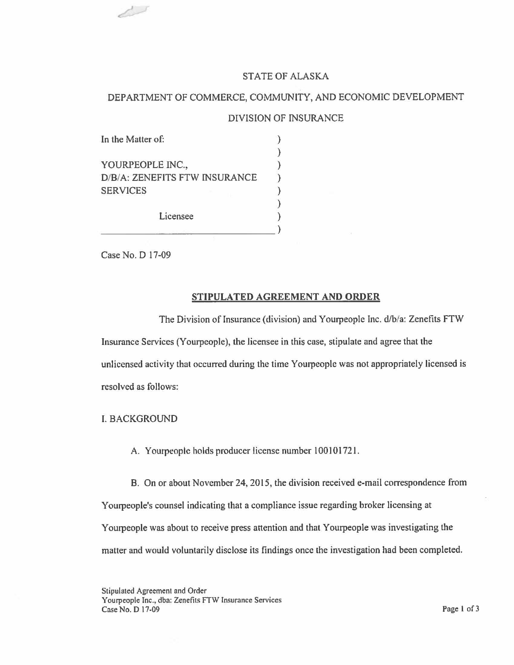## STATE OF ALASKA

# DEPARTMENT OF COMMERCE, COMMUNITY, AND ECONOMIC DEVELOPMENT

#### DIVISION OF INSURANCE

| In the Matter of:             |  |
|-------------------------------|--|
|                               |  |
| YOURPEOPLE INC.,              |  |
| D/B/A: ZENEFITS FTW INSURANCE |  |
| <b>SERVICES</b>               |  |
|                               |  |
| Licensee                      |  |
|                               |  |

Case No. D 17-09

 $\overline{\phantom{a}}$ 

#### **STIPULATED AGREEMENT AND ORDER**

The Division of Insurance (division) and Yourpeople Inc. d/b/a: Zenefits FTW Insurance Services (Yourpeople), the licensee in this case, stipulate and agree that the unlicensed activity that occurred during the time Yourpeople was not appropriately licensed is resolved as follows:

I. BACKGROUND

A. Yourpeople holds producer license number 100101721.

B. On or about November 24, 2015, the division received e-mail correspondence from Y ourpeople's counsel indicating that a compliance issue regarding broker licensing at Yourpeople was about to receive press attention and that Yourpeople was investigating the matter and would voluntarily disclose its findings once the investigation had been completed.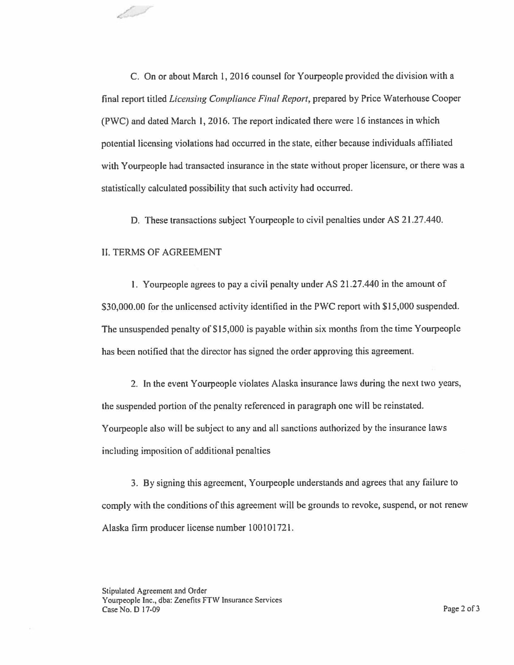C. On or about March 1, 2016 counsel for Yourpeople provided the division with a final report titled *Licensing Compliance Final Report,* prepared by Price Waterhouse Cooper (PWC) and dated March I, 2016. The report indicated there were 16 instances in which potential licensing violations had occurred in the state, either because individuals affiliated with Yourpeople had transacted insurance in the state without proper licensure, or there was a statistically calculated possibility that such activity had occurred.

D. These transactions subject Yourpeople to civil penalties under AS 21.27.440.

### II. TERMS OF AGREEMENT

1 - 1

1. Yourpeople agrees to pay a civil penalty under AS 21.27.440 in the amount of \$30,000.00 for the unlicensed activity identified in the PWC report with \$15,000 suspended. The unsuspended penalty of \$15,000 is payable within six months from the time Yourpeople has been notified that the director has signed the order approving this agreement.

2. In the event Yourpeople violates Alaska insurance laws during the next two years, the suspended portion of the penalty referenced in paragraph one will be reinstated. Yourpeople also will be subject to any and all sanctions authorized by the insurance laws including imposition of additional penalties

3. By signing this agreement, Yourpeople understands and agrees that any failure to comply with the conditions of this agreement will be grounds to revoke, suspend, or not renew Alaska firm producer license number l 00101721.